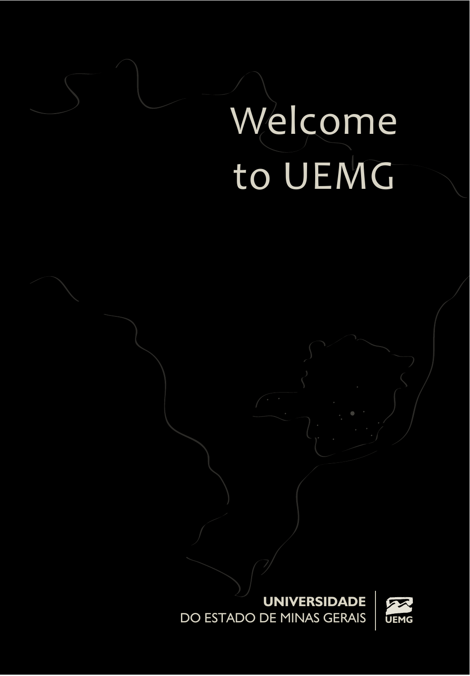# Welcome to UEMG

**UNIVERSIDADE** DO ESTADO DE MINAS GERAIS **UEMG**

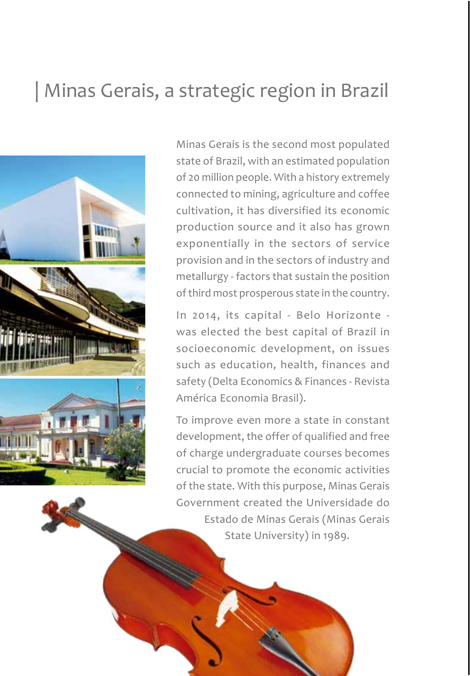### | Minas Gerais, a strategic region in Brazil



Minas Gerais is the second most populated state of Brazil, with an estimated population of 20 million people. With a history extremely connected to mining, agriculture and coffee cultivation, it has diversified its economic production source and it also has grown exponentially in the sectors of service provision and in the sectors of industry and metallurgy - factors that sustain the position of third most prosperous state in the country.

In 2014, its capital - Belo Horizonte was elected the best capital of Brazil in socioeconomic development, on issues such as education, health, finances and safety (Delta Economics & Finances - Revista América Economia Brasil).

To improve even more a state in constant development, the offer of qualified and free of charge undergraduate courses becomes crucial to promote the economic activities of the state. With this purpose, Minas Gerais Government created the Universidade do Estado de Minas Gerais (Minas Gerais State University) in 1989.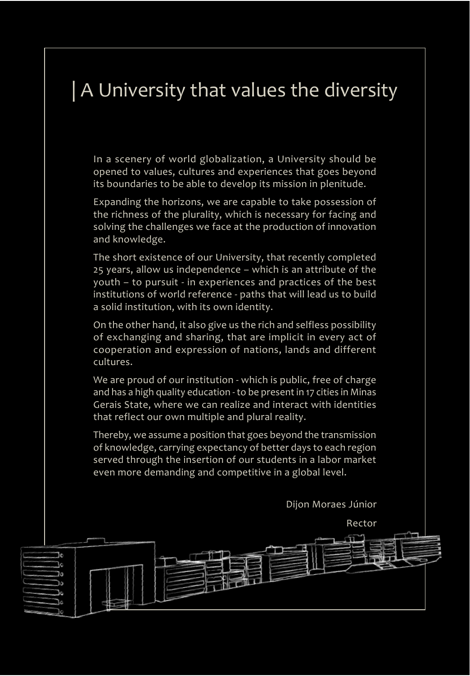### | A University that values the diversity

In a scenery of world globalization, a University should be opened to values, cultures and experiences that goes beyond its boundaries to be able to develop its mission in plenitude.

Expanding the horizons, we are capable to take possession of the richness of the plurality, which is necessary for facing and solving the challenges we face at the production of innovation and knowledge.

The short existence of our University, that recently completed 25 years, allow us independence – which is an attribute of the youth – to pursuit - in experiences and practices of the best institutions of world reference - paths that will lead us to build a solid institution, with its own identity.

On the other hand, it also give us the rich and selfless possibility of exchanging and sharing, that are implicit in every act of cooperation and expression of nations, lands and different cultures.

We are proud of our institution - which is public, free of charge and has a high quality education - to be present in 17 cities in Minas Gerais State, where we can realize and interact with identities that reflect our own multiple and plural reality.

Thereby, we assume a position that goes beyond the transmission of knowledge, carrying expectancy of better days to each region served through the insertion of our students in a labor market even more demanding and competitive in a global level.

Dijon Moraes Júnior

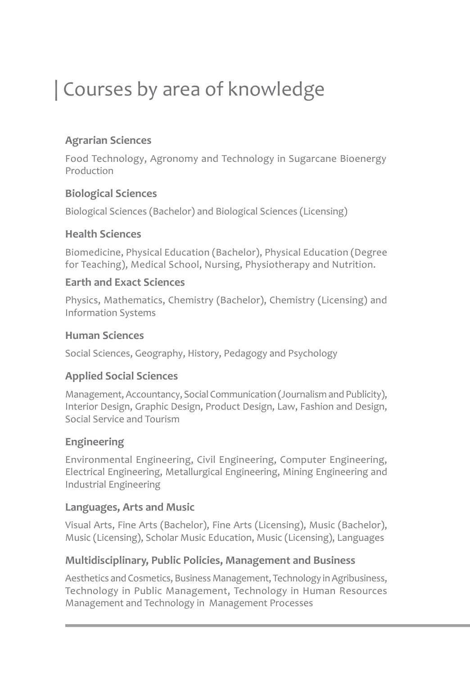### | Courses by area of knowledge

#### **Agrarian Sciences**

Food Technology, Agronomy and Technology in Sugarcane Bioenergy Production

#### **Biological Sciences**

Biological Sciences (Bachelor) and Biological Sciences (Licensing)

#### **Health Sciences**

Biomedicine, Physical Education (Bachelor), Physical Education (Degree for Teaching), Medical School, Nursing, Physiotherapy and Nutrition.

#### **Earth and Exact Sciences**

Physics, Mathematics, Chemistry (Bachelor), Chemistry (Licensing) and Information Systems

#### **Human Sciences**

Social Sciences, Geography, History, Pedagogy and Psychology

#### **Applied Social Sciences**

Management, Accountancy, Social Communication (Journalism and Publicity), Interior Design, Graphic Design, Product Design, Law, Fashion and Design, Social Service and Tourism

#### **Engineering**

Environmental Engineering, Civil Engineering, Computer Engineering, Electrical Engineering, Metallurgical Engineering, Mining Engineering and Industrial Engineering

#### **Languages, Arts and Music**

Visual Arts, Fine Arts (Bachelor), Fine Arts (Licensing), Music (Bachelor), Music (Licensing), Scholar Music Education, Music (Licensing), Languages

#### **Multidisciplinary, Public Policies, Management and Business**

Aesthetics and Cosmetics, Business Management, Technology in Agribusiness, Technology in Public Management, Technology in Human Resources Management and Technology in Management Processes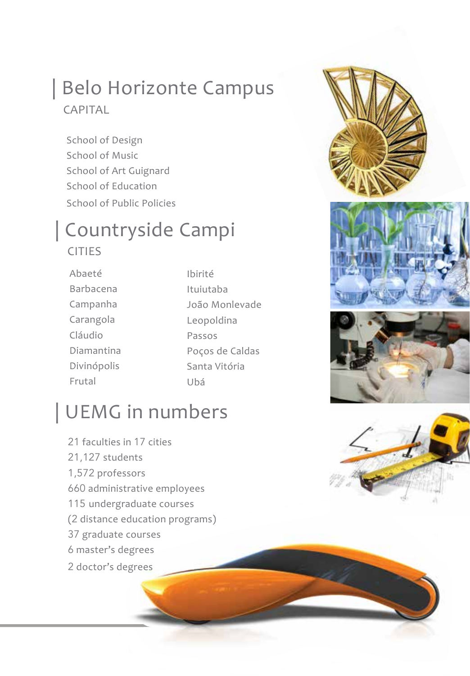### | Belo Horizonte Campus CAPITAL

School of Design School of Music School of Art Guignard School of Education School of Public Policies

## | Countryside Campi

#### CITIES

- Abaeté Barbacena Campanha Carangola Cláudio Diamantina Divinópolis Frutal
- Ibirité Ituiutaba João Monlevade Leopoldina Passos Poços de Caldas Santa Vitória Ubá

### | UEMG in numbers

 faculties in 17 cities 21,127 students 1,572 professors administrative employees undergraduate courses (2 distance education programs) graduate courses master's degrees doctor's degrees